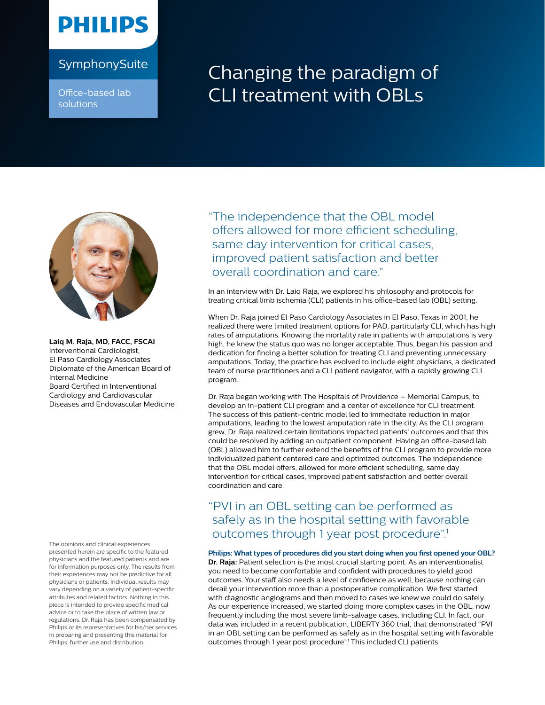# **PHILIPS**

Office-based lab solutions

## SymphonySuite **Changing the paradigm of** CLI treatment with OBLs



**Laiq M. Raja, MD, FACC, FSCAI**  Interventional Cardiologist, El Paso Cardiology Associates Diplomate of the American Board of Internal Medicine Board Certified in Interventional Cardiology and Cardiovascular Diseases and Endovascular Medicine

The opinions and clinical experiences presented herein are specific to the featured physicians and the featured patients and are for information purposes only. The results from their experiences may not be predictive for all physicians or patients. Individual results may vary depending on a variety of patient-specific attributes and related factors. Nothing in this piece is intended to provide specific medical advice or to take the place of written law or regulations. Dr. Raja has been compensated by Philips or its representatives for his/her services in preparing and presenting this material for Philips' further use and distribution.

"The independence that the OBL model offers allowed for more efficient scheduling, same day intervention for critical cases, improved patient satisfaction and better overall coordination and care."

In an interview with Dr. Laiq Raja, we explored his philosophy and protocols for treating critical limb ischemia (CLI) patients in his office-based lab (OBL) setting.

When Dr. Raja joined El Paso Cardiology Associates in El Paso, Texas in 2001, he realized there were limited treatment options for PAD, particularly CLI, which has high rates of amputations. Knowing the mortality rate in patients with amputations is very high, he knew the status quo was no longer acceptable. Thus, began his passion and dedication for finding a better solution for treating CLI and preventing unnecessary amputations. Today, the practice has evolved to include eight physicians, a dedicated team of nurse practitioners and a CLI patient navigator, with a rapidly growing CLI program.

Dr. Raja began working with The Hospitals of Providence – Memorial Campus, to develop an in-patient CLI program and a center of excellence for CLI treatment. The success of this patient-centric model led to immediate reduction in major amputations, leading to the lowest amputation rate in the city. As the CLI program grew, Dr. Raja realized certain limitations impacted patients' outcomes and that this could be resolved by adding an outpatient component. Having an office-based lab (OBL) allowed him to further extend the benefits of the CLI program to provide more individualized patient centered care and optimized outcomes. The independence that the OBL model offers, allowed for more efficient scheduling, same day intervention for critical cases, improved patient satisfaction and better overall coordination and care.

### "PVI in an OBL setting can be performed as safely as in the hospital setting with favorable outcomes through 1 year post procedure".1

### **Philips: What types of procedures did you start doing when you first opened your OBL?**

**Dr. Raja:** Patient selection is the most crucial starting point. As an interventionalist you need to become comfortable and confident with procedures to yield good outcomes. Your staff also needs a level of confidence as well, because nothing can derail your intervention more than a postoperative complication. We first started with diagnostic angiograms and then moved to cases we knew we could do safely. As our experience increased, we started doing more complex cases in the OBL, now frequently including the most severe limb-salvage cases, including CLI. In fact, our data was included in a recent publication, LIBERTY 360 trial, that demonstrated "PVI in an OBL setting can be performed as safely as in the hospital setting with favorable outcomes through 1 year post procedure".<sup>1</sup> This included CLI patients.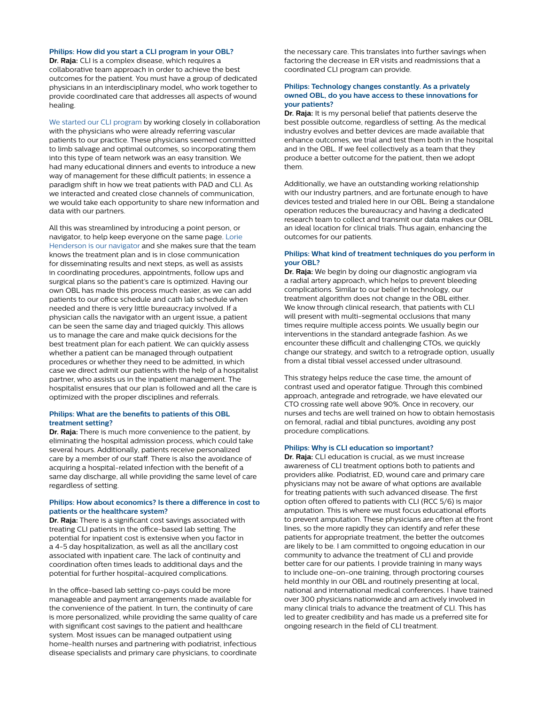#### **Philips: How did you start a CLI program in your OBL?**

**Dr. Raja:** CLI is a complex disease, which requires a collaborative team approach in order to achieve the best outcomes for the patient. You must have a group of dedicated physicians in an interdisciplinary model, who work together to provide coordinated care that addresses all aspects of wound healing.

[We started our CLI program](http://phi.2.broadcastmed.net/videos/how-to-be-a-successful-cli-expert) by working closely in collaboration with the physicians who were already referring vascular patients to our practice. These physicians seemed committed to limb salvage and optimal outcomes, so incorporating them into this type of team network was an easy transition. We had many educational dinners and events to introduce a new way of management for these difficult patients; in essence a paradigm shift in how we treat patients with PAD and CLI. As we interacted and created close channels of communication, we would take each opportunity to share new information and data with our partners.

All this was streamlined by introducing a point person, or navigator, to help keep everyone on the same page. [Lorie](https://resource.philipseliiteacademy.com/videos/cli-navigator)  [Henderson is our navigator](https://resource.philipseliiteacademy.com/videos/cli-navigator) and she makes sure that the team knows the treatment plan and is in close communication for disseminating results and next steps, as well as assists in coordinating procedures, appointments, follow ups and surgical plans so the patient's care is optimized. Having our own OBL has made this process much easier, as we can add patients to our office schedule and cath lab schedule when needed and there is very little bureaucracy involved. If a physician calls the navigator with an urgent issue, a patient can be seen the same day and triaged quickly. This allows us to manage the care and make quick decisions for the best treatment plan for each patient. We can quickly assess whether a patient can be managed through outpatient procedures or whether they need to be admitted, in which case we direct admit our patients with the help of a hospitalist partner, who assists us in the inpatient management. The hospitalist ensures that our plan is followed and all the care is optimized with the proper disciplines and referrals.

#### **Philips: What are the benefits to patients of this OBL treatment setting?**

**Dr. Raja:** There is much more convenience to the patient, by eliminating the hospital admission process, which could take several hours. Additionally, patients receive personalized care by a member of our staff. There is also the avoidance of acquiring a hospital-related infection with the benefit of a same day discharge, all while providing the same level of care regardless of setting.

#### **Philips: How about economics? Is there a difference in cost to patients or the healthcare system?**

**Dr. Raja:** There is a significant cost savings associated with treating CLI patients in the office-based lab setting. The potential for inpatient cost is extensive when you factor in a 4-5 day hospitalization, as well as all the ancillary cost associated with inpatient care. The lack of continuity and coordination often times leads to additional days and the potential for further hospital-acquired complications.

In the office-based lab setting co-pays could be more manageable and payment arrangements made available for the convenience of the patient. In turn, the continuity of care is more personalized, while providing the same quality of care with significant cost savings to the patient and healthcare system. Most issues can be managed outpatient using home-health nurses and partnering with podiatrist, infectious disease specialists and primary care physicians, to coordinate

the necessary care. This translates into further savings when factoring the decrease in ER visits and readmissions that a coordinated CLI program can provide.

#### **Philips: Technology changes constantly. As a privately owned OBL, do you have access to these innovations for your patients?**

**Dr. Raja:** It is my personal belief that patients deserve the best possible outcome, regardless of setting. As the medical industry evolves and better devices are made available that enhance outcomes, we trial and test them both in the hospital and in the OBL. If we feel collectively as a team that they produce a better outcome for the patient, then we adopt them.

Additionally, we have an outstanding working relationship with our industry partners, and are fortunate enough to have devices tested and trialed here in our OBL. Being a standalone operation reduces the bureaucracy and having a dedicated research team to collect and transmit our data makes our OBL an ideal location for clinical trials. Thus again, enhancing the outcomes for our patients.

#### **Philips: What kind of treatment techniques do you perform in your OBL?**

**Dr. Raja:** We begin by doing our diagnostic angiogram via a radial artery approach, which helps to prevent bleeding complications. Similar to our belief in technology, our treatment algorithm does not change in the OBL either. We know through clinical research, that patients with CLI will present with multi-segmental occlusions that many times require multiple access points. We usually begin our interventions in the standard antegrade fashion. As we encounter these difficult and challenging CTOs, we quickly change our strategy, and switch to a retrograde option, usually from a distal tibial vessel accessed under ultrasound.

This strategy helps reduce the case time, the amount of contrast used and operator fatigue. Through this combined approach, antegrade and retrograde, we have elevated our CTO crossing rate well above 90%. Once in recovery, our nurses and techs are well trained on how to obtain hemostasis on femoral, radial and tibial punctures, avoiding any post procedure complications.

#### **Philips: Why is CLI education so important?**

**Dr. Raja:** CLI education is crucial, as we must increase awareness of CLI treatment options both to patients and providers alike. Podiatrist, ED, wound care and primary care physicians may not be aware of what options are available for treating patients with such advanced disease. The first option often offered to patients with CLI (RCC 5/6) is major amputation. This is where we must focus educational efforts to prevent amputation. These physicians are often at the front lines, so the more rapidly they can identify and refer these patients for appropriate treatment, the better the outcomes are likely to be. I am committed to ongoing education in our community to advance the treatment of CLI and provide better care for our patients. I provide training in many ways to include one-on-one training, through proctoring courses held monthly in our OBL and routinely presenting at local, national and international medical conferences. I have trained over 300 physicians nationwide and am actively involved in many clinical trials to advance the treatment of CLI. This has led to greater credibility and has made us a preferred site for ongoing research in the field of CLI treatment.